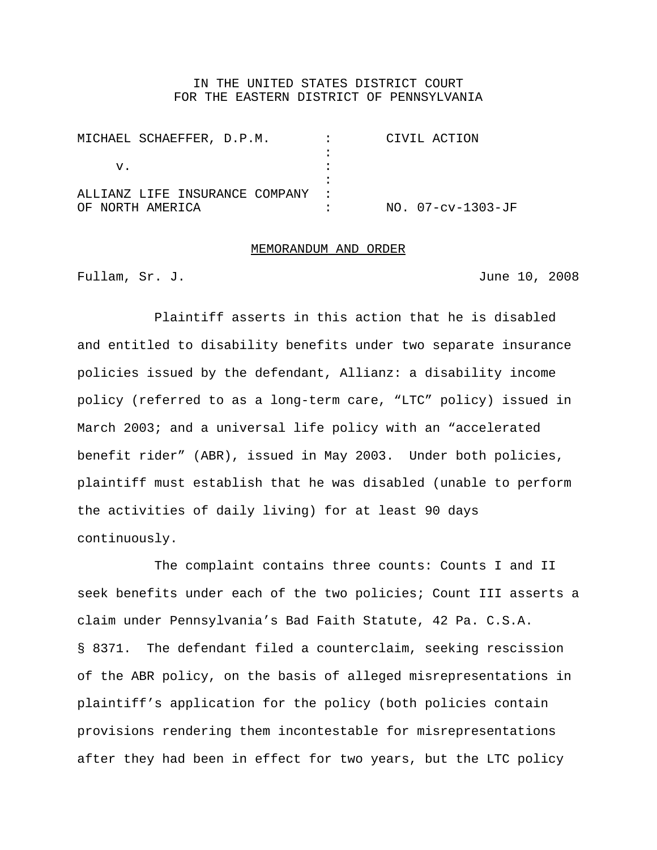## IN THE UNITED STATES DISTRICT COURT FOR THE EASTERN DISTRICT OF PENNSYLVANIA

| MICHAEL SCHAEFFER, D.P.M.        | <b>Contract Contract</b> | CIVIL ACTION      |
|----------------------------------|--------------------------|-------------------|
|                                  |                          |                   |
| v.                               |                          |                   |
|                                  |                          |                   |
| ALLIANZ LIFE INSURANCE COMPANY : |                          |                   |
| OF NORTH AMERICA                 |                          | NO. 07-cv-1303-JF |

## MEMORANDUM AND ORDER

Fullam, Sr. J. June 10, 2008

Plaintiff asserts in this action that he is disabled and entitled to disability benefits under two separate insurance policies issued by the defendant, Allianz: a disability income policy (referred to as a long-term care, "LTC" policy) issued in March 2003; and a universal life policy with an "accelerated benefit rider" (ABR), issued in May 2003. Under both policies, plaintiff must establish that he was disabled (unable to perform the activities of daily living) for at least 90 days continuously.

The complaint contains three counts: Counts I and II seek benefits under each of the two policies; Count III asserts a claim under Pennsylvania's Bad Faith Statute, 42 Pa. C.S.A. § 8371. The defendant filed a counterclaim, seeking rescission of the ABR policy, on the basis of alleged misrepresentations in plaintiff's application for the policy (both policies contain provisions rendering them incontestable for misrepresentations after they had been in effect for two years, but the LTC policy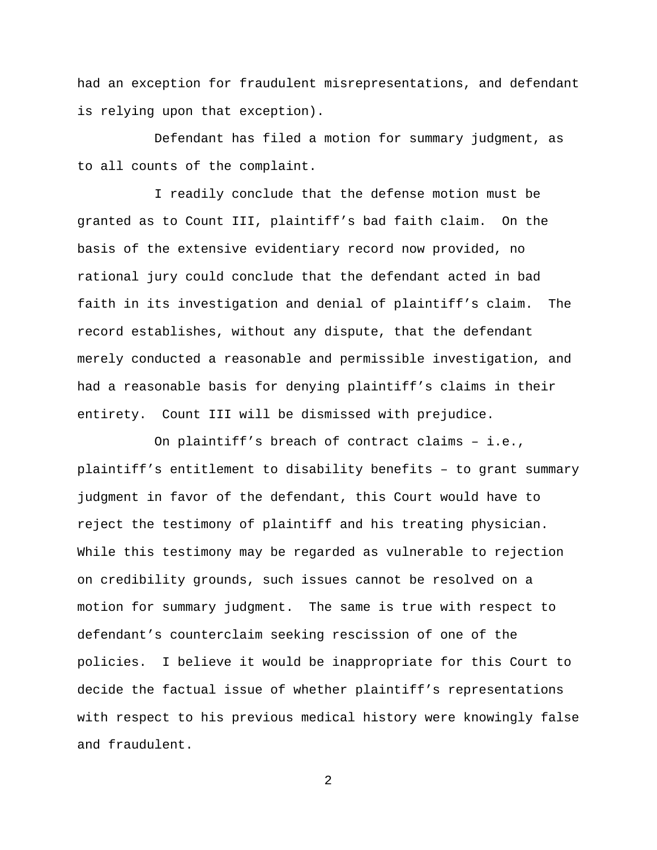had an exception for fraudulent misrepresentations, and defendant is relying upon that exception).

Defendant has filed a motion for summary judgment, as to all counts of the complaint.

I readily conclude that the defense motion must be granted as to Count III, plaintiff's bad faith claim. On the basis of the extensive evidentiary record now provided, no rational jury could conclude that the defendant acted in bad faith in its investigation and denial of plaintiff's claim. The record establishes, without any dispute, that the defendant merely conducted a reasonable and permissible investigation, and had a reasonable basis for denying plaintiff's claims in their entirety. Count III will be dismissed with prejudice.

On plaintiff's breach of contract claims – i.e., plaintiff's entitlement to disability benefits – to grant summary judgment in favor of the defendant, this Court would have to reject the testimony of plaintiff and his treating physician. While this testimony may be regarded as vulnerable to rejection on credibility grounds, such issues cannot be resolved on a motion for summary judgment. The same is true with respect to defendant's counterclaim seeking rescission of one of the policies. I believe it would be inappropriate for this Court to decide the factual issue of whether plaintiff's representations with respect to his previous medical history were knowingly false and fraudulent.

2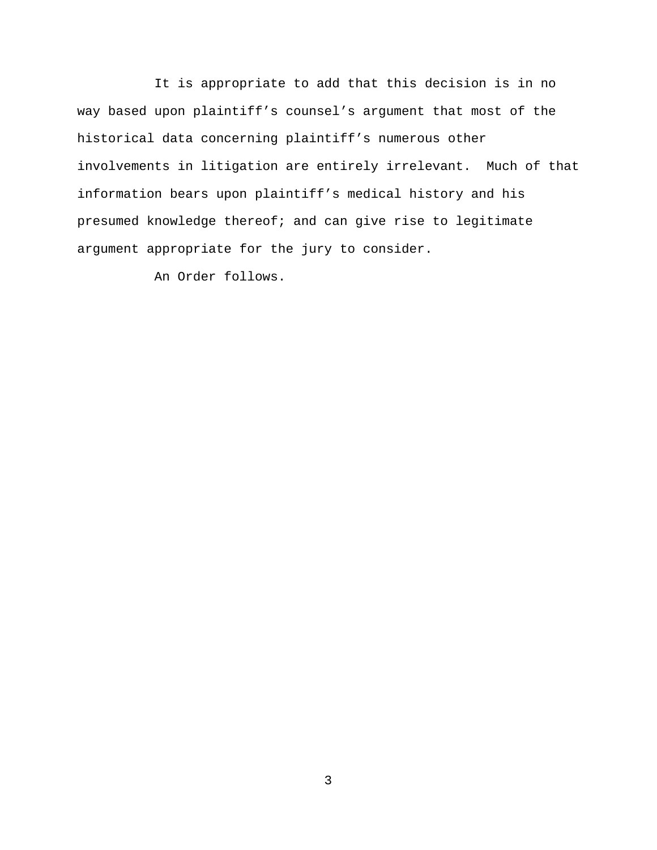It is appropriate to add that this decision is in no way based upon plaintiff's counsel's argument that most of the historical data concerning plaintiff's numerous other involvements in litigation are entirely irrelevant. Much of that information bears upon plaintiff's medical history and his presumed knowledge thereof; and can give rise to legitimate argument appropriate for the jury to consider.

An Order follows.